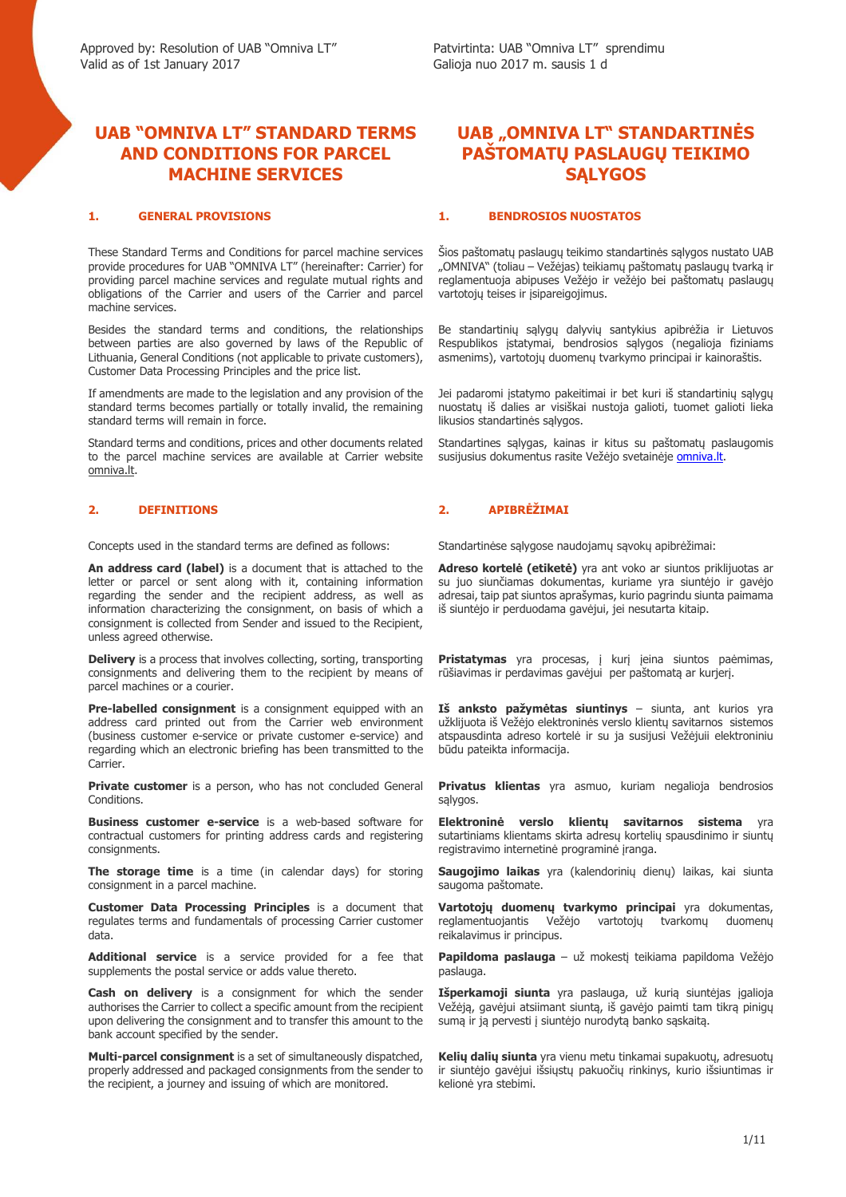## **UAB "OMNIVA LT" STANDARD TERMS AND CONDITIONS FOR PARCEL MACHINE SERVICES**

These Standard Terms and Conditions for parcel machine services provide procedures for UAB "OMNIVA LT" (hereinafter: Carrier) for providing parcel machine services and regulate mutual rights and obligations of the Carrier and users of the Carrier and parcel machine services.

Besides the standard terms and conditions, the relationships between parties are also governed by laws of the Republic of Lithuania, General Conditions (not applicable to private customers), Customer Data Processing Principles and the price list.

If amendments are made to the legislation and any provision of the standard terms becomes partially or totally invalid, the remaining standard terms will remain in force.

Standard terms and conditions, prices and other documents related to the parcel machine services are available at Carrier website omniva.lt.

Concepts used in the standard terms are defined as follows: Standartinėse sąlygose naudojamų sąvokų apibrėžimai:

**An address card (label)** is a document that is attached to the letter or parcel or sent along with it, containing information regarding the sender and the recipient address, as well as information characterizing the consignment, on basis of which a consignment is collected from Sender and issued to the Recipient, unless agreed otherwise.

**Delivery** is a process that involves collecting, sorting, transporting consignments and delivering them to the recipient by means of parcel machines or a courier.

**Pre-labelled consignment** is a consignment equipped with an address card printed out from the Carrier web environment (business customer e-service or private customer e-service) and regarding which an electronic briefing has been transmitted to the **Carrier** 

Private customer is a person, who has not concluded General **Conditions** 

**Business customer e-service** is a web-based software for contractual customers for printing address cards and registering consignments.

**The storage time** is a time (in calendar days) for storing consignment in a parcel machine.

**Customer Data Processing Principles** is a document that regulates terms and fundamentals of processing Carrier customer data.

**Additional service** is a service provided for a fee that supplements the postal service or adds value thereto.

**Cash on delivery** is a consignment for which the sender authorises the Carrier to collect a specific amount from the recipient upon delivering the consignment and to transfer this amount to the bank account specified by the sender.

**Multi-parcel consignment** is a set of simultaneously dispatched, properly addressed and packaged consignments from the sender to the recipient, a journey and issuing of which are monitored.

# **UAB "OMNIVA LT" STANDARTINĖS PAŠTOMATŲ PASLAUGŲ TEIKIMO SĄLYGOS**

### **1. GENERAL PROVISIONS 1. BENDROSIOS NUOSTATOS**

Šios paštomatų paslaugų teikimo standartinės sąlygos nustato UAB "OMNIVA" (toliau – Vežėjas) teikiamų paštomatų paslaugų tvarką ir reglamentuoja abipuses Vežėjo ir vežėjo bei paštomatų paslaugų vartotojų teises ir įsipareigojimus.

Be standartinių sąlygų dalyvių santykius apibrėžia ir Lietuvos Respublikos įstatymai, bendrosios sąlygos (negalioja fiziniams asmenims), vartotojų duomenų tvarkymo principai ir kainoraštis.

Jei padaromi įstatymo pakeitimai ir bet kuri iš standartinių sąlygų nuostatų iš dalies ar visiškai nustoja galioti, tuomet galioti lieka likusios standartinės sąlygos.

Standartines sąlygas, kainas ir kitus su paštomatų paslaugomis susijusius dokumentus rasite Vežėjo svetainėje omniva.lt.

### **2. DEFINITIONS 2. APIBRĖŽIMAI**

**Adreso kortelė (etiketė)** yra ant voko ar siuntos priklijuotas ar su juo siunčiamas dokumentas, kuriame yra siuntėjo ir gavėjo adresai, taip pat siuntos aprašymas, kurio pagrindu siunta paimama iš siuntėjo ir perduodama gavėjui, jei nesutarta kitaip.

**Pristatymas** yra procesas, į kurį ieina siuntos paėmimas, rūšiavimas ir perdavimas gavėjui per paštomatą ar kurjerį.

**Iš anksto pažymėtas siuntinys** – siunta, ant kurios yra užklijuota iš Vežėjo elektroninės verslo klientų savitarnos sistemos atspausdinta adreso kortelė ir su ja susijusi Vežėjuii elektroniniu būdu pateikta informacija.

**Privatus klientas** yra asmuo, kuriam negalioja bendrosios sąlygos.

**Elektroninė verslo klientų savitarnos sistema** yra sutartiniams klientams skirta adresų kortelių spausdinimo ir siuntų registravimo internetinė programinė įranga.

**Saugojimo laikas** yra (kalendorinių dienų) laikas, kai siunta saugoma paštomate.

**Vartotojų duomenų tvarkymo principai** yra dokumentas, reglamentuojantis Vežėjo vartotojų tvarkomų duomenų reikalavimus ir principus.

**Papildoma paslauga** – už mokestį teikiama papildoma Vežėjo paslauga.

**Išperkamoji siunta** yra paslauga, už kurią siuntėjas įgalioja Vežėją, gavėjui atsiimant siuntą, iš gavėjo paimti tam tikrą pinigų sumą ir ją pervesti į siuntėjo nurodytą banko sąskaitą.

**Kelių dalių siunta** yra vienu metu tinkamai supakuotų, adresuotų ir siuntėjo gavėjui išsiųstų pakuočių rinkinys, kurio išsiuntimas ir kelionė yra stebimi.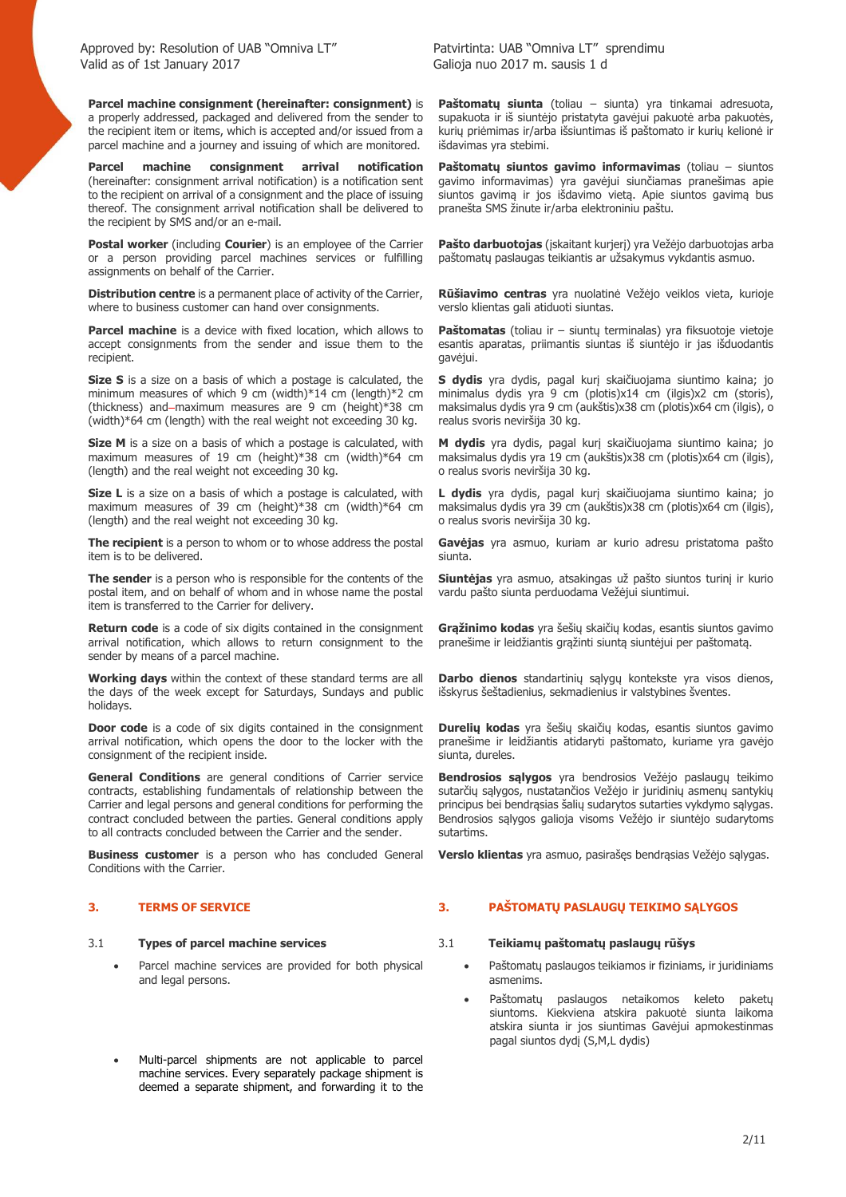**Parcel machine consignment (hereinafter: consignment)** is a properly addressed, packaged and delivered from the sender to the recipient item or items, which is accepted and/or issued from a parcel machine and a journey and issuing of which are monitored.

**Parcel machine consignment arrival notification** (hereinafter: consignment arrival notification) is a notification sent to the recipient on arrival of a consignment and the place of issuing thereof. The consignment arrival notification shall be delivered to the recipient by SMS and/or an e-mail.

**Postal worker** (including **Courier**) is an employee of the Carrier or a person providing parcel machines services or fulfilling assignments on behalf of the Carrier.

**Distribution centre** is a permanent place of activity of the Carrier, where to business customer can hand over consignments.

**Parcel machine** is a device with fixed location, which allows to accept consignments from the sender and issue them to the recipient.

**Size S** is a size on a basis of which a postage is calculated, the minimum measures of which 9 cm (width)\*14 cm (length)\*2 cm (thickness) and-maximum measures are 9 cm (height)  $*38$  cm (width)\*64 cm (length) with the real weight not exceeding 30 kg.

**Size M** is a size on a basis of which a postage is calculated, with maximum measures of 19 cm (height)\*38 cm (width)\*64 cm (length) and the real weight not exceeding 30 kg.

**Size L** is a size on a basis of which a postage is calculated, with maximum measures of 39 cm (height)\*38 cm (width)\*64 cm (length) and the real weight not exceeding 30 kg.

**The recipient** is a person to whom or to whose address the postal item is to be delivered.

**The sender** is a person who is responsible for the contents of the postal item, and on behalf of whom and in whose name the postal item is transferred to the Carrier for delivery.

**Return code** is a code of six digits contained in the consignment arrival notification, which allows to return consignment to the sender by means of a parcel machine.

**Working days** within the context of these standard terms are all the days of the week except for Saturdays, Sundays and public holidays.

**Door code** is a code of six digits contained in the consignment arrival notification, which opens the door to the locker with the consignment of the recipient inside.

**General Conditions** are general conditions of Carrier service contracts, establishing fundamentals of relationship between the Carrier and legal persons and general conditions for performing the contract concluded between the parties. General conditions apply to all contracts concluded between the Carrier and the sender.

**Business customer** is a person who has concluded General Conditions with the Carrier.

- Parcel machine services are provided for both physical and legal persons.
- Multi-parcel shipments are not applicable to parcel machine services. Every separately package shipment is deemed a separate shipment, and forwarding it to the

**Paštomatų siunta** (toliau – siunta) yra tinkamai adresuota, supakuota ir iš siuntėjo pristatyta gavėjui pakuotė arba pakuotės, kurių priėmimas ir/arba išsiuntimas iš paštomato ir kurių kelionė ir išdavimas yra stebimi.

**Paštomatų siuntos gavimo informavimas** (toliau – siuntos gavimo informavimas) yra gavėjui siunčiamas pranešimas apie siuntos gavimą ir jos išdavimo vietą. Apie siuntos gavimą bus pranešta SMS žinute ir/arba elektroniniu paštu.

**Pašto darbuotojas** (įskaitant kurjerį) yra Vežėjo darbuotojas arba paštomatų paslaugas teikiantis ar užsakymus vykdantis asmuo.

**Rūšiavimo centras** yra nuolatinė Vežėjo veiklos vieta, kurioje verslo klientas gali atiduoti siuntas.

**Paštomatas** (toliau ir – siuntų terminalas) yra fiksuotoje vietoje esantis aparatas, priimantis siuntas iš siuntėjo ir jas išduodantis gavėjui.

**S dydis** yra dydis, pagal kurį skaičiuojama siuntimo kaina; jo minimalus dydis yra 9 cm (plotis)x14 cm (ilgis)x2 cm (storis), maksimalus dydis yra 9 cm (aukštis)x38 cm (plotis)x64 cm (ilgis), o realus svoris neviršija 30 kg.

**M dydis** yra dydis, pagal kurį skaičiuojama siuntimo kaina; jo maksimalus dydis yra 19 cm (aukštis)x38 cm (plotis)x64 cm (ilgis), o realus svoris neviršija 30 kg.

**L dydis** yra dydis, pagal kurį skaičiuojama siuntimo kaina; jo maksimalus dydis yra 39 cm (aukštis)x38 cm (plotis)x64 cm (ilgis), o realus svoris neviršija 30 kg.

**Gavėjas** yra asmuo, kuriam ar kurio adresu pristatoma pašto siunta.

**Siuntėjas** yra asmuo, atsakingas už pašto siuntos turinį ir kurio vardu pašto siunta perduodama Vežėjui siuntimui.

**Grąžinimo kodas** yra šešių skaičių kodas, esantis siuntos gavimo pranešime ir leidžiantis grąžinti siuntą siuntėjui per paštomatą.

**Darbo dienos** standartinių sąlygų kontekste yra visos dienos, išskyrus šeštadienius, sekmadienius ir valstybines šventes.

**Durelių kodas** yra šešių skaičių kodas, esantis siuntos gavimo pranešime ir leidžiantis atidaryti paštomato, kuriame yra gavėjo siunta, dureles.

**Bendrosios sąlygos** yra bendrosios Vežėjo paslaugų teikimo sutarčių sąlygos, nustatančios Vežėjo ir juridinių asmenų santykių principus bei bendrąsias šalių sudarytos sutarties vykdymo sąlygas. Bendrosios sąlygos galioja visoms Vežėjo ir siuntėjo sudarytoms sutartims.

**Verslo klientas** yra asmuo, pasirašęs bendrąsias Vežėjo sąlygas.

### **3. TERMS OF SERVICE 3. PAŠTOMATŲ PASLAUGŲ TEIKIMO SĄLYGOS**

### 3.1 **Types of parcel machine services** 3.1 **Teikiamų paštomatų paslaugų rūšys**

- Paštomatu paslaugos teikiamos ir fiziniams, ir juridiniams asmenims.
- Paštomatų paslaugos netaikomos keleto paketų siuntoms. Kiekviena atskira pakuotė siunta laikoma atskira siunta ir jos siuntimas Gavėjui apmokestinmas pagal siuntos dydį (S,M,L dydis)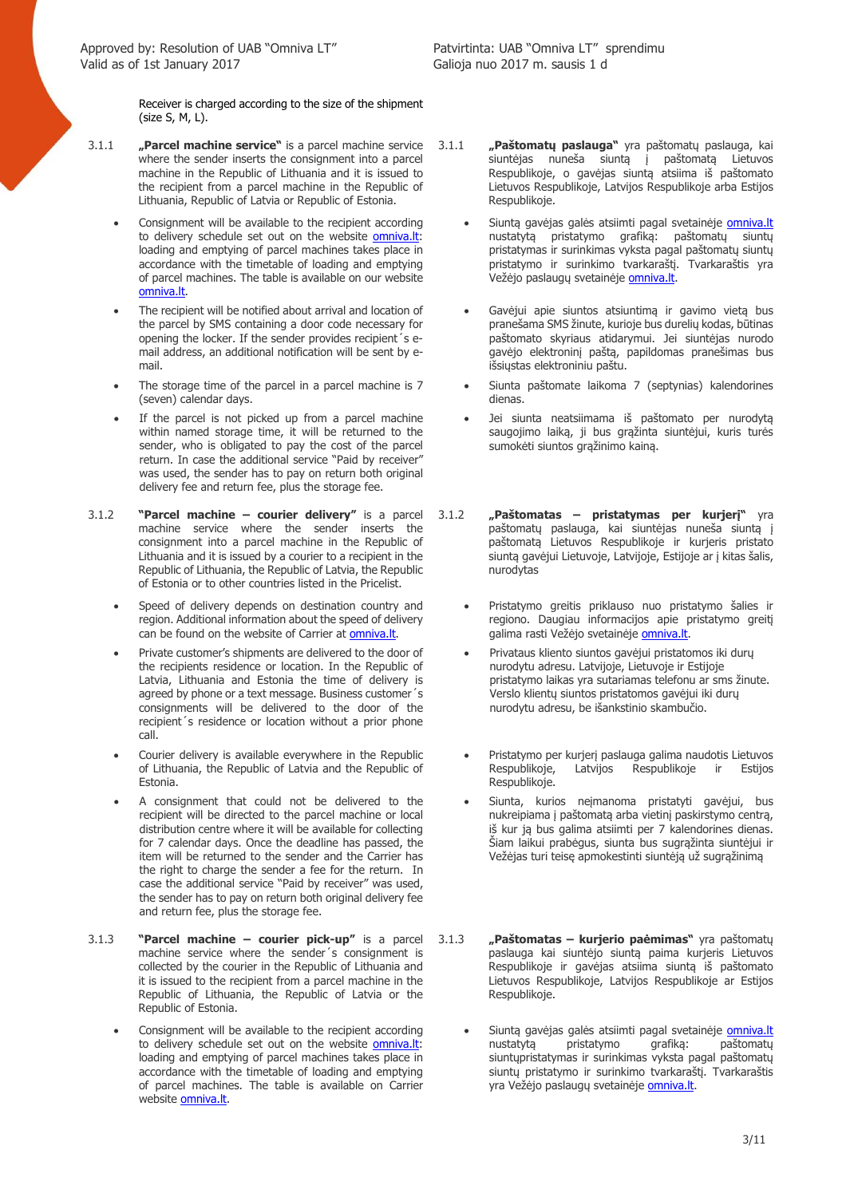Receiver is charged according to the size of the shipment (size S, M, L).

- 3.1.1 **"Parcel machine service"** is a parcel machine service where the sender inserts the consignment into a parcel machine in the Republic of Lithuania and it is issued to the recipient from a parcel machine in the Republic of Lithuania, Republic of Latvia or Republic of Estonia.
	- Consignment will be available to the recipient according to delivery schedule set out on the website **omniva.lt**: loading and emptying of parcel machines takes place in accordance with the timetable of loading and emptying of parcel machines. The table is available on our website omniva.lt.
	- The recipient will be notified about arrival and location of the parcel by SMS containing a door code necessary for opening the locker. If the sender provides recipient´s email address, an additional notification will be sent by email.
	- The storage time of the parcel in a parcel machine is 7 (seven) calendar days.
	- If the parcel is not picked up from a parcel machine within named storage time, it will be returned to the sender, who is obligated to pay the cost of the parcel return. In case the additional service "Paid by receiver" was used, the sender has to pay on return both original delivery fee and return fee, plus the storage fee.
- 3.1.2 **"Parcel machine courier delivery"** is a parcel machine service where the sender inserts the consignment into a parcel machine in the Republic of Lithuania and it is issued by a courier to a recipient in the Republic of Lithuania, the Republic of Latvia, the Republic of Estonia or to other countries listed in the Pricelist.
	- Speed of delivery depends on destination country and region. Additional information about the speed of delivery can be found on the website of Carrier at omniva.lt.
	- Private customer's shipments are delivered to the door of the recipients residence or location. In the Republic of Latvia, Lithuania and Estonia the time of delivery is agreed by phone or a text message. Business customer´s consignments will be delivered to the door of the recipient´s residence or location without a prior phone call.
	- Courier delivery is available everywhere in the Republic of Lithuania, the Republic of Latvia and the Republic of Estonia.
	- A consignment that could not be delivered to the recipient will be directed to the parcel machine or local distribution centre where it will be available for collecting for 7 calendar days. Once the deadline has passed, the item will be returned to the sender and the Carrier has the right to charge the sender a fee for the return. In case the additional service "Paid by receiver" was used, the sender has to pay on return both original delivery fee and return fee, plus the storage fee.
- 3.1.3 **"Parcel machine courier pick-up"** is a parcel machine service where the sender´s consignment is collected by the courier in the Republic of Lithuania and it is issued to the recipient from a parcel machine in the Republic of Lithuania, the Republic of Latvia or the Republic of Estonia.
	- Consignment will be available to the recipient according to delivery schedule set out on the website omniva.lt: loading and emptying of parcel machines takes place in accordance with the timetable of loading and emptying of parcel machines. The table is available on Carrier website omniva.lt.
- 3.1.1 **"Paštomatų paslauga"** yra paštomatų paslauga, kai siuntėjas nuneša siuntą į paštomatą Lietuvos Respublikoje, o gavėjas siuntą atsiima iš paštomato Lietuvos Respublikoje, Latvijos Respublikoje arba Estijos Respublikoje.
	- Siuntą gavėjas galės atsiimti pagal svetainėje omniva.lt nustatytą pristatymo grafiką: paštomatų siuntų pristatymas ir surinkimas vyksta pagal paštomatų siuntų pristatymo ir surinkimo tvarkaraštį. Tvarkaraštis yra Vežėjo paslaugų svetainėje omniva.lt.
	- Gavėjui apie siuntos atsiuntimą ir gavimo vietą bus pranešama SMS žinute, kurioje bus durelių kodas, būtinas paštomato skyriaus atidarymui. Jei siuntėjas nurodo gavėjo elektroninį paštą, papildomas pranešimas bus išsiųstas elektroniniu paštu.
	- Siunta paštomate laikoma 7 (septynias) kalendorines dienas.
	- Jei siunta neatsiimama iš paštomato per nurodytą saugojimo laiką, ji bus grąžinta siuntėjui, kuris turės sumokėti siuntos grąžinimo kainą.
- 3.1.2 **"Paštomatas pristatymas per kurjerį"** yra paštomatų paslauga, kai siuntėjas nuneša siuntą į paštomatą Lietuvos Respublikoje ir kurjeris pristato siuntą gavėjui Lietuvoje, Latvijoje, Estijoje ar į kitas šalis, nurodytas
	- Pristatymo greitis priklauso nuo pristatymo šalies ir regiono. Daugiau informacijos apie pristatymo greiti galima rasti Vežėjo svetainėje omniva.lt.
	- Privataus kliento siuntos gavėjui pristatomos iki durų nurodytu adresu. Latvijoje, Lietuvoje ir Estijoje pristatymo laikas yra sutariamas telefonu ar sms žinute. Verslo klientų siuntos pristatomos gavėjui iki durų nurodytu adresu, be išankstinio skambučio.
	- Pristatymo per kurjerį paslauga galima naudotis Lietuvos Respublikoje, Latvijos Respublikoje ir Estijos Respublikoje.
	- Siunta, kurios neįmanoma pristatyti gavėjui, bus nukreipiama į paštomatą arba vietinį paskirstymo centrą, iš kur ją bus galima atsiimti per 7 kalendorines dienas. Šiam laikui prabėgus, siunta bus sugrąžinta siuntėjui ir Vežėjas turi teisę apmokestinti siuntėją už sugrąžinimą
- 3.1.3 **"Paštomatas kurjerio paėmimas"** yra paštomatų paslauga kai siuntėjo siuntą paima kurjeris Lietuvos Respublikoje ir gavėjas atsiima siuntą iš paštomato Lietuvos Respublikoje, Latvijos Respublikoje ar Estijos Respublikoje.
	- Siuntą gavėjas galės atsiimti pagal svetainėje omniva.lt nustatytą pristatymo grafiką: paštomatų siuntųpristatymas ir surinkimas vyksta pagal paštomatų siuntų pristatymo ir surinkimo tvarkaraštį. Tvarkaraštis yra Vežėjo paslaugų svetainėje omniva.lt.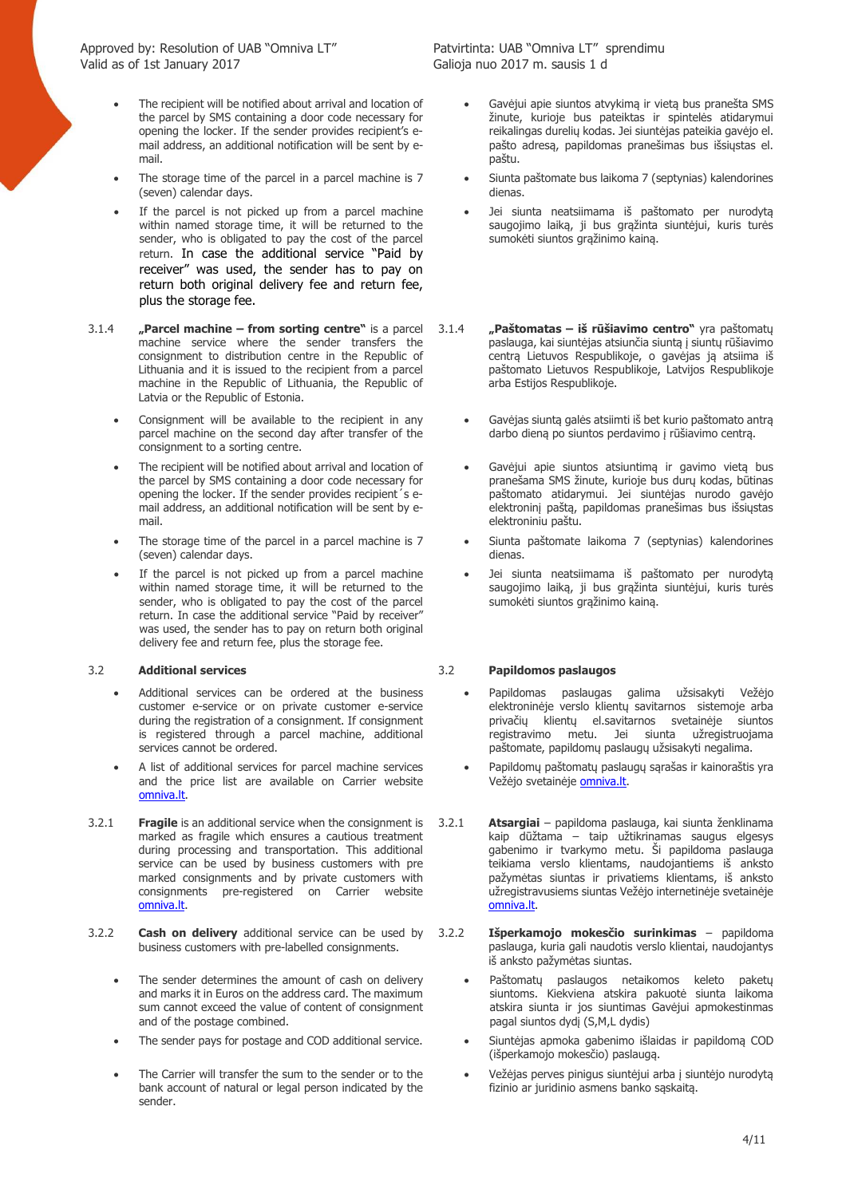- The recipient will be notified about arrival and location of the parcel by SMS containing a door code necessary for opening the locker. If the sender provides recipient's email address, an additional notification will be sent by email.
- The storage time of the parcel in a parcel machine is 7 (seven) calendar days.
- If the parcel is not picked up from a parcel machine within named storage time, it will be returned to the sender, who is obligated to pay the cost of the parcel return. In case the additional service "Paid by receiver" was used, the sender has to pay on return both original delivery fee and return fee, plus the storage fee.
- 3.1.4 **"Parcel machine from sorting centre"** is a parcel machine service where the sender transfers the consignment to distribution centre in the Republic of Lithuania and it is issued to the recipient from a parcel machine in the Republic of Lithuania, the Republic of Latvia or the Republic of Estonia.
	- Consignment will be available to the recipient in any parcel machine on the second day after transfer of the consignment to a sorting centre.
	- The recipient will be notified about arrival and location of the parcel by SMS containing a door code necessary for opening the locker. If the sender provides recipient´s email address, an additional notification will be sent by email.
	- The storage time of the parcel in a parcel machine is 7 (seven) calendar days.
	- If the parcel is not picked up from a parcel machine within named storage time, it will be returned to the sender, who is obligated to pay the cost of the parcel return. In case the additional service "Paid by receiver" was used, the sender has to pay on return both original delivery fee and return fee, plus the storage fee.

- Additional services can be ordered at the business customer e-service or on private customer e-service during the registration of a consignment. If consignment is registered through a parcel machine, additional services cannot be ordered.
- A list of additional services for parcel machine services and the price list are available on Carrier website omniva.lt.
- 3.2.1 **Fragile** is an additional service when the consignment is marked as fragile which ensures a cautious treatment during processing and transportation. This additional service can be used by business customers with pre marked consignments and by private customers with consignments pre-registered on Carrier website omniva.lt.
- 3.2.2 **Cash on delivery** additional service can be used by business customers with pre-labelled consignments.
	- The sender determines the amount of cash on delivery and marks it in Euros on the address card. The maximum sum cannot exceed the value of content of consignment and of the postage combined.
	-
	- The Carrier will transfer the sum to the sender or to the bank account of natural or legal person indicated by the sender.

- Gavėjui apie siuntos atvykimą ir vietą bus pranešta SMS žinute, kurioje bus pateiktas ir spintelės atidarymui reikalingas durelių kodas. Jei siuntėjas pateikia gavėjo el. pašto adresą, papildomas pranešimas bus išsiųstas el. paštu.
- Siunta paštomate bus laikoma 7 (septynias) kalendorines dienas.
- Jei siunta neatsiimama iš paštomato per nurodytą saugojimo laiką, ji bus grąžinta siuntėjui, kuris turės sumokėti siuntos grąžinimo kainą.
- 3.1.4 **"Paštomatas iš rūšiavimo centro"** yra paštomatų paslauga, kai siuntėjas atsiunčia siuntą į siuntų rūšiavimo centrą Lietuvos Respublikoje, o gavėjas ją atsiima iš paštomato Lietuvos Respublikoje, Latvijos Respublikoje arba Estijos Respublikoje.
	- Gavėjas siuntą galės atsiimti iš bet kurio paštomato antrą darbo dieną po siuntos perdavimo į rūšiavimo centrą.
	- Gavėjui apie siuntos atsiuntimą ir gavimo vietą bus pranešama SMS žinute, kurioje bus durų kodas, būtinas paštomato atidarymui. Jei siuntėjas nurodo gavėjo elektroninį paštą, papildomas pranešimas bus išsiųstas elektroniniu paštu.
	- Siunta paštomate laikoma 7 (septynias) kalendorines dienas.
	- Jei siunta neatsiimama iš paštomato per nurodytą saugojimo laiką, ji bus grąžinta siuntėjui, kuris turės sumokėti siuntos grąžinimo kainą.

### 3.2 **Additional services** 3.2 **Papildomos paslaugos**

- Papildomas paslaugas galima užsisakyti Vežėjo elektroninėje verslo klientų savitarnos sistemoje arba privačių klientų el.savitarnos svetainėje siuntos registravimo metu. Jei siunta užregistruojama paštomate, papildomų paslaugų užsisakyti negalima.
- Papildomų paštomatų paslaugų sąrašas ir kainoraštis yra Vežėjo svetainėje **omniva.lt**.
- 3.2.1 **Atsargiai** papildoma paslauga, kai siunta ženklinama kaip dūžtama – taip užtikrinamas saugus elgesys gabenimo ir tvarkymo metu. Ši papildoma paslauga teikiama verslo klientams, naudojantiems iš anksto pažymėtas siuntas ir privatiems klientams, iš anksto užregistravusiems siuntas Vežėjo internetinėje svetainėje omniva.lt.
- 3.2.2 **Išperkamojo mokesčio surinkimas** papildoma paslauga, kuria gali naudotis verslo klientai, naudojantys iš anksto pažymėtas siuntas.
	- Paštomatų paslaugos netaikomos keleto paketų siuntoms. Kiekviena atskira pakuotė siunta laikoma atskira siunta ir jos siuntimas Gavėjui apmokestinmas pagal siuntos dydį (S,M,L dydis)
- The sender pays for postage and COD additional service. Siuntėjas apmoka gabenimo išlaidas ir papildomą COD (išperkamojo mokesčio) paslaugą.
	- Vežėjas perves pinigus siuntėjui arba į siuntėjo nurodytą fizinio ar juridinio asmens banko sąskaitą.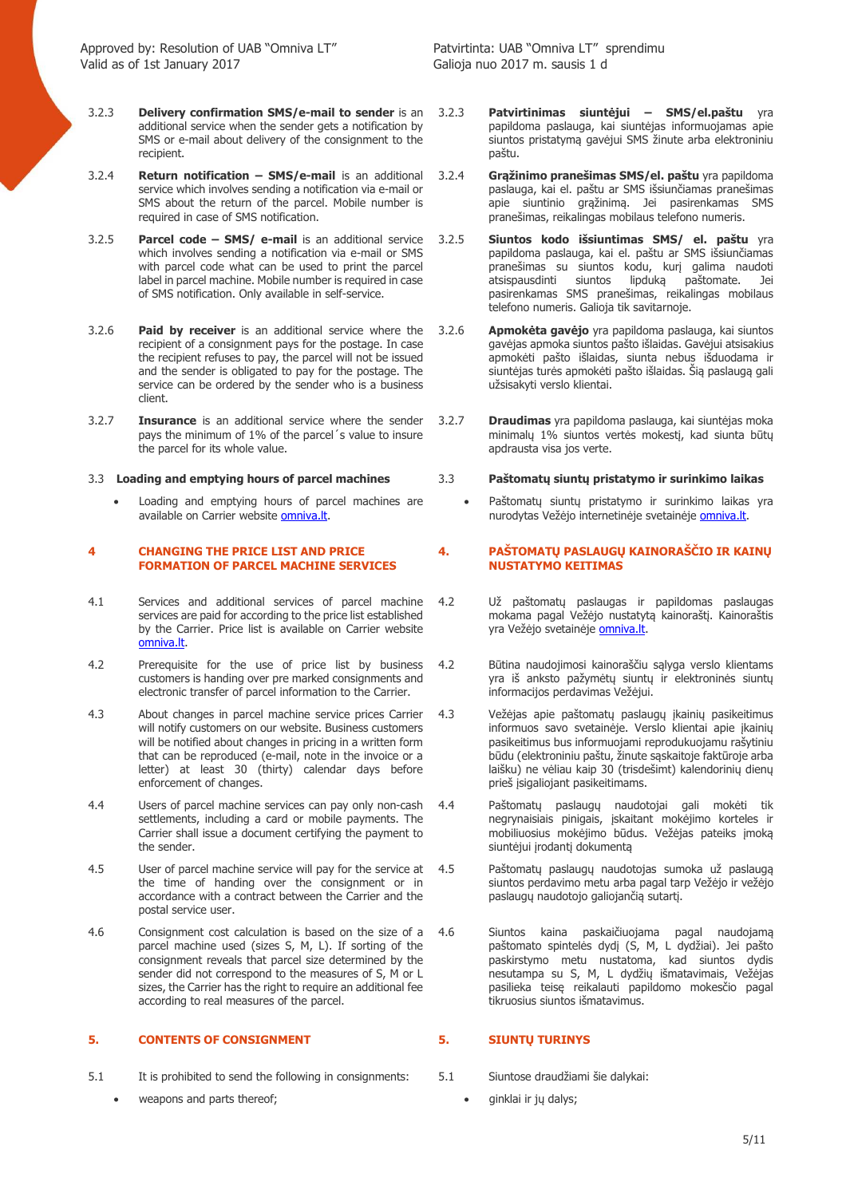- 3.2.3 **Delivery confirmation SMS/e-mail to sender** is an additional service when the sender gets a notification by SMS or e-mail about delivery of the consignment to the recipient.
- 3.2.4 **Return notification – SMS/e-mail** is an additional service which involves sending a notification via e-mail or SMS about the return of the parcel. Mobile number is required in case of SMS notification.
- 3.2.5 **Parcel code – SMS/ e-mail** is an additional service which involves sending a notification via e-mail or SMS with parcel code what can be used to print the parcel label in parcel machine. Mobile number is required in case of SMS notification. Only available in self-service.
- 3.2.6 **Paid by receiver** is an additional service where the recipient of a consignment pays for the postage. In case the recipient refuses to pay, the parcel will not be issued and the sender is obligated to pay for the postage. The service can be ordered by the sender who is a business client.
- 3.2.7 **Insurance** is an additional service where the sender pays the minimum of 1% of the parcel´s value to insure the parcel for its whole value.

Loading and emptying hours of parcel machines are available on Carrier website **omniva.lt**.

### **4 CHANGING THE PRICE LIST AND PRICE FORMATION OF PARCEL MACHINE SERVICES**

- 4.1 Services and additional services of parcel machine services are paid for according to the price list established by the Carrier. Price list is available on Carrier website omniva.lt.
- 4.2 Prerequisite for the use of price list by business customers is handing over pre marked consignments and electronic transfer of parcel information to the Carrier.
- 4.3 About changes in parcel machine service prices Carrier will notify customers on our website. Business customers will be notified about changes in pricing in a written form that can be reproduced (e-mail, note in the invoice or a letter) at least 30 (thirty) calendar days before enforcement of changes.
- 4.4 Users of parcel machine services can pay only non-cash settlements, including a card or mobile payments. The Carrier shall issue a document certifying the payment to the sender.
- 4.5 User of parcel machine service will pay for the service at the time of handing over the consignment or in accordance with a contract between the Carrier and the postal service user.
- 4.6 Consignment cost calculation is based on the size of a parcel machine used (sizes S, M, L). If sorting of the consignment reveals that parcel size determined by the sender did not correspond to the measures of S, M or L sizes, the Carrier has the right to require an additional fee according to real measures of the parcel.

### **5. CONTENTS OF CONSIGNMENT 5. SIUNTŲ TURINYS**

- 5.1 It is prohibited to send the following in consignments: 5.1 Siuntose draudžiami šie dalykai:
	- veapons and parts thereof;  $\qquad \qquad \bullet \qquad$  ginklai ir jų dalys;
- 3.2.3 **Patvirtinimas siuntėjui SMS/el.paštu** yra papildoma paslauga, kai siuntėjas informuojamas apie siuntos pristatymą gavėjui SMS žinute arba elektroniniu paštu.
- 3.2.4 **Grąžinimo pranešimas SMS/el. paštu** yra papildoma paslauga, kai el. paštu ar SMS išsiunčiamas pranešimas apie siuntinio grąžinimą. Jei pasirenkamas SMS pranešimas, reikalingas mobilaus telefono numeris.
- 3.2.5 **Siuntos kodo išsiuntimas SMS/ el. paštu** yra papildoma paslauga, kai el. paštu ar SMS išsiunčiamas pranešimas su siuntos kodu, kurį galima naudoti<br>atsispausdinti siuntos lipduką paštomate. Jei paštomate. Jei pasirenkamas SMS pranešimas, reikalingas mobilaus telefono numeris. Galioja tik savitarnoje.
- 3.2.6 **Apmokėta gavėjo** yra papildoma paslauga, kai siuntos gavėjas apmoka siuntos pašto išlaidas. Gavėjui atsisakius apmokėti pašto išlaidas, siunta nebus išduodama ir siuntėjas turės apmokėti pašto išlaidas. Šią paslaugą gali užsisakyti verslo klientai.
- 3.2.7 **Draudimas** yra papildoma paslauga, kai siuntėjas moka minimalų 1% siuntos vertės mokestį, kad siunta būtų apdrausta visa jos verte.

### 3.3 **Loading and emptying hours of parcel machines** 3.3 **Paštomatų siuntų pristatymo ir surinkimo laikas**

Paštomatų siuntų pristatymo ir surinkimo laikas yra nurodytas Vežėjo internetinėje svetainėje omniva.lt.

### **4. PAŠTOMATŲ PASLAUGŲ KAINORAŠČIO IR KAINŲ NUSTATYMO KEITIMAS**

- 4.2 Už paštomatų paslaugas ir papildomas paslaugas mokama pagal Vežėjo nustatytą kainoraštį. Kainoraštis yra Vežėjo svetainėje **omniva.lt.**
- 4.2 Būtina naudojimosi kainoraščiu sąlyga verslo klientams yra iš anksto pažymėtų siuntų ir elektroninės siuntų informacijos perdavimas Vežėjui.
- 4.3 Vežėjas apie paštomatų paslaugų įkainių pasikeitimus informuos savo svetainėje. Verslo klientai apie įkainių pasikeitimus bus informuojami reprodukuojamu rašytiniu būdu (elektroniniu paštu, žinute sąskaitoje faktūroje arba laišku) ne vėliau kaip 30 (trisdešimt) kalendorinių dienų prieš įsigaliojant pasikeitimams.
- 4.4 Paštomatų paslaugų naudotojai gali mokėti tik negrynaisiais pinigais, įskaitant mokėjimo korteles ir mobiliuosius mokėjimo būdus. Vežėjas pateiks įmoką siuntėjui įrodantį dokumentą
- 4.5 Paštomatų paslaugų naudotojas sumoka už paslaugą siuntos perdavimo metu arba pagal tarp Vežėjo ir vežėjo paslaugų naudotojo galiojančią sutartį.
- 4.6 Siuntos kaina paskaičiuojama pagal naudojamą paštomato spintelės dydį (S, M, L dydžiai). Jei pašto paskirstymo metu nustatoma, kad siuntos dydis nesutampa su S, M, L dydžių išmatavimais, Vežėjas pasilieka teisę reikalauti papildomo mokesčio pagal tikruosius siuntos išmatavimus.

- -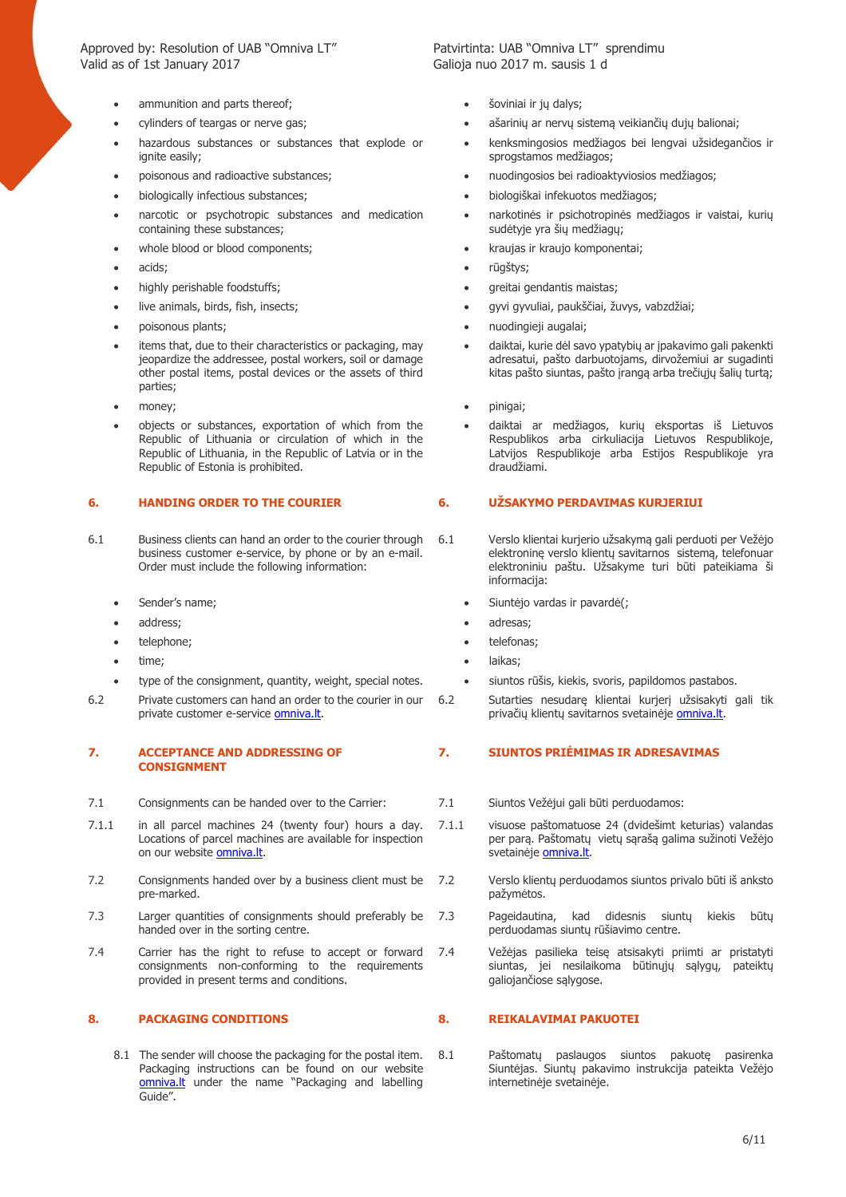Approved by: Resolution of UAB "Omniva LT" Patvirtinta: UAB "Omniva LT" sprendimu Valid as of 1st January 2017 Galioja nuo 2017 m. sausis 1 d

- 
- 
- hazardous substances or substances that explode or ignite easily:
- 
- 
- narcotic or psychotropic substances and medication containing these substances;
- 
- 
- highly perishable foodstuffs; example and the set of the set of the set of the set of the set of the set of the set of the set of the set of the set of the set of the set of the set of the set of the set of the set of the
- 
- 
- items that, due to their characteristics or packaging, may jeopardize the addressee, postal workers, soil or damage other postal items, postal devices or the assets of third parties;
- money; example and the set of the set of the set of the pinigal;
- objects or substances, exportation of which from the Republic of Lithuania or circulation of which in the Republic of Lithuania, in the Republic of Latvia or in the Republic of Estonia is prohibited.

- 6.1 Business clients can hand an order to the courier through business customer e-service, by phone or by an e-mail. Order must include the following information:
	- Sender's name;
	- address;
	- telephone;
	- time;
	- type of the consignment, quantity, weight, special notes.
- 6.2 Private customers can hand an order to the courier in our private customer e-service omniva.lt.

### **7. ACCEPTANCE AND ADDRESSING OF CONSIGNMENT**

- 7.1 Consignments can be handed over to the Carrier: 7.1 Siuntos Vežėjui gali būti perduodamos:
- 7.1.1 in all parcel machines 24 (twenty four) hours a day. Locations of parcel machines are available for inspection on our website **omniva.lt**.
- 7.2 Consignments handed over by a business client must be pre-marked.
- 7.3 Larger quantities of consignments should preferably be handed over in the sorting centre.
- 7.4 Carrier has the right to refuse to accept or forward consignments non-conforming to the requirements provided in present terms and conditions.

### **8. PACKAGING CONDITIONS 8. REIKALAVIMAI PAKUOTEI**

8.1 The sender will choose the packaging for the postal item. Packaging instructions can be found on our website omniva.lt under the name "Packaging and labelling Guide".

- ammunition and parts thereof; šoviniai ir jų dalys;
- cylinders of teargas or nerve gas; ašarinių ar nervų sistemą veikiančių dujų balionai;
	- kenksmingosios medžiagos bei lengvai užsidegančios ir sprogstamos medžiagos;
- poisonous and radioactive substances; nuodingosios bei radioaktyviosios medžiagos;
- biologically infectious substances; biologiškai infekuotos medžiagos;
	- narkotinės ir psichotropinės medžiagos ir vaistai, kurių sudėtyje yra šių medžiagų;
- whole blood or blood components;  $\bullet$  kraujas ir kraujo komponentai;
- acids; rūgštys;
	-
	- live animals, birds, fish, insects; gyvi gyvuliai, paukščiai, žuvys, vabzdžiai;
	- poisonous plants; nuodingieji augalai;
		- daiktai, kurie dėl savo ypatybių ar įpakavimo gali pakenkti adresatui, pašto darbuotojams, dirvožemiui ar sugadinti kitas pašto siuntas, pašto įrangą arba trečiųjų šalių turtą;
		-
		- daiktai ar medžiagos, kurių eksportas iš Lietuvos Respublikos arba cirkuliacija Lietuvos Respublikoje, Latvijos Respublikoje arba Estijos Respublikoje yra draudžiami.

### **6. HANDING ORDER TO THE COURIER 6. UŽSAKYMO PERDAVIMAS KURJERIUI**

- 6.1 Verslo klientai kurjerio užsakymą gali perduoti per Vežėjo elektroninę verslo klientų savitarnos sistemą, telefonuar elektroniniu paštu. Užsakyme turi būti pateikiama ši informacija:
	- Siuntėjo vardas ir pavardė(;
	- adresas;
	- telefonas;
	- laikas;
	- siuntos rūšis, kiekis, svoris, papildomos pastabos.
- 6.2 Sutarties nesudarę klientai kurjerį užsisakyti gali tik privačių klientų savitarnos svetainėje omniva.lt.

### **7. SIUNTOS PRIĖMIMAS IR ADRESAVIMAS**

- 
- 7.1.1 visuose paštomatuose 24 (dvidešimt keturias) valandas per parą. Paštomatų vietų sąrašą galima sužinoti Vežėjo svetainėje **omniva.lt**.
- 7.2 Verslo klientų perduodamos siuntos privalo būti iš anksto pažymėtos.
- 7.3 Pageidautina, kad didesnis siuntų kiekis būtų perduodamas siuntų rūšiavimo centre.
- 7.4 Vežėjas pasilieka teisę atsisakyti priimti ar pristatyti siuntas, jei nesilaikoma būtinųjų sąlygų, pateiktų galiojančiose sąlygose.

8.1 Paštomatų paslaugos siuntos pakuotę pasirenka Siuntėjas. Siuntų pakavimo instrukcija pateikta Vežėjo internetinėje svetainėje.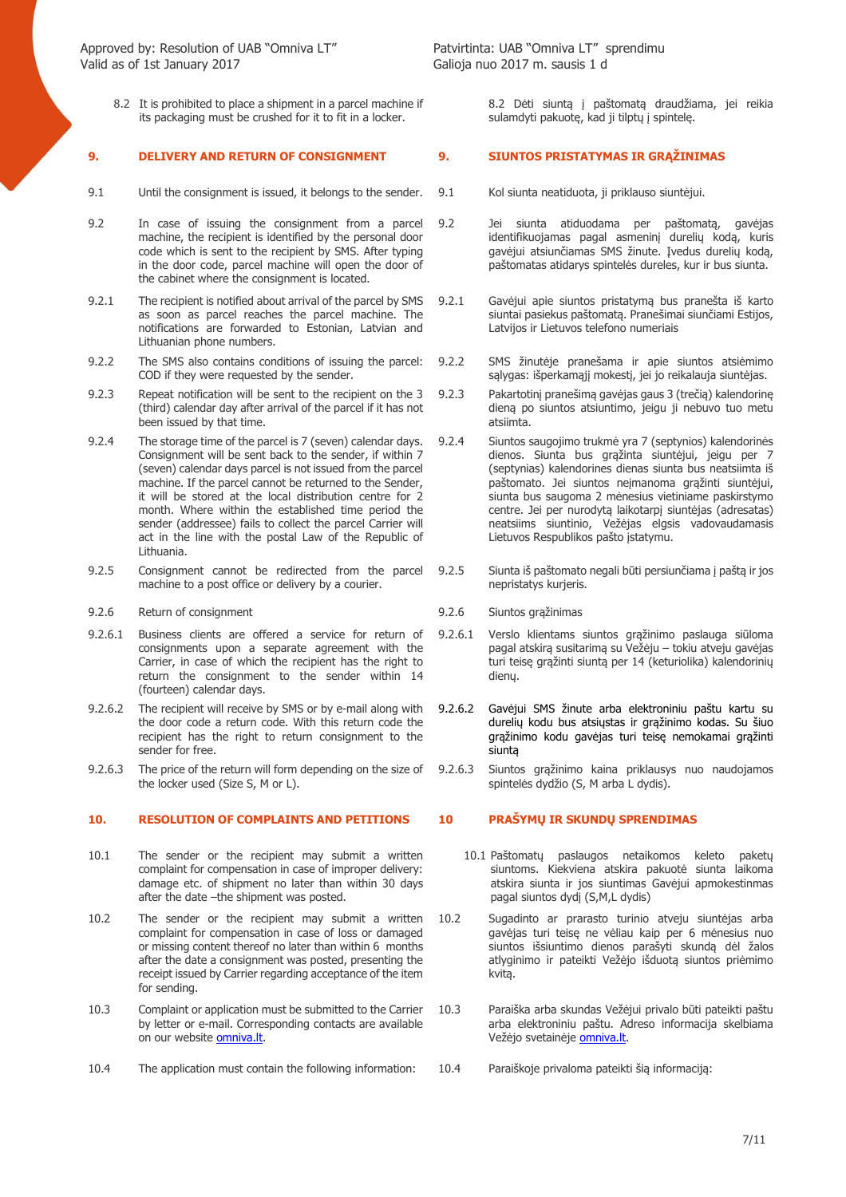8.2 It is prohibited to place a shipment in a parcel machine if its packaging must be crushed for it to fit in a locker.

### **9. DELIVERY AND RETURN OF CONSIGNMENT 9. SIUNTOS PRISTATYMAS IR GRĄŽINIMAS**

- 9.1 Until the consignment is issued, it belongs to the sender. 9.1 Kol siunta neatiduota, ji priklauso siuntėjui.
- 9.2 In case of issuing the consignment from a parcel machine, the recipient is identified by the personal door code which is sent to the recipient by SMS. After typing in the door code, parcel machine will open the door of the cabinet where the consignment is located.
- 9.2.1 The recipient is notified about arrival of the parcel by SMS as soon as parcel reaches the parcel machine. The notifications are forwarded to Estonian, Latvian and Lithuanian phone numbers.
- 9.2.2 The SMS also contains conditions of issuing the parcel: COD if they were requested by the sender.
- 9.2.3 Repeat notification will be sent to the recipient on the 3 (third) calendar day after arrival of the parcel if it has not been issued by that time.
- 9.2.4 The storage time of the parcel is 7 (seven) calendar days. Consignment will be sent back to the sender, if within 7 (seven) calendar days parcel is not issued from the parcel machine. If the parcel cannot be returned to the Sender, it will be stored at the local distribution centre for 2 month. Where within the established time period the sender (addressee) fails to collect the parcel Carrier will act in the line with the postal Law of the Republic of Lithuania.
- 9.2.5 Consignment cannot be redirected from the parcel machine to a post office or delivery by a courier.
- 9.2.6 Return of consignment 9.2.6 Siuntos grąžinimas
- 9.2.6.1 Business clients are offered a service for return of consignments upon a separate agreement with the Carrier, in case of which the recipient has the right to return the consignment to the sender within 14 (fourteen) calendar days.
- 9.2.6.2 The recipient will receive by SMS or by e-mail along with the door code a return code. With this return code the recipient has the right to return consignment to the sender for free.
- 9.2.6.3 The price of the return will form depending on the size of the locker used (Size S, M or L).

### **10. RESOLUTION OF COMPLAINTS AND PETITIONS 10 PRAŠYMŲ IR SKUNDŲ SPRENDIMAS**

- 10.1 The sender or the recipient may submit a written complaint for compensation in case of improper delivery: damage etc. of shipment no later than within 30 days after the date –the shipment was posted.
- 10.2 The sender or the recipient may submit a written complaint for compensation in case of loss or damaged or missing content thereof no later than within 6 months after the date a consignment was posted, presenting the receipt issued by Carrier regarding acceptance of the item for sending.
- 10.3 Complaint or application must be submitted to the Carrier by letter or e-mail. Corresponding contacts are available on our website omniva.lt.
- 10.4 The application must contain the following information: 10.4 Paraiškoje privaloma pateikti šią informaciją:

8.2 Dėti siuntą į paštomatą draudžiama, jei reikia

sulamdyti pakuotę, kad ji tilptų į spintelę.

- 
- 9.2 Jei siunta atiduodama per paštomatą, gavėjas identifikuojamas pagal asmeninį durelių kodą, kuris gavėjui atsiunčiamas SMS žinute. Įvedus durelių kodą, paštomatas atidarys spintelės dureles, kur ir bus siunta.
- 9.2.1 Gavėjui apie siuntos pristatymą bus pranešta iš karto siuntai pasiekus paštomatą. Pranešimai siunčiami Estijos, Latvijos ir Lietuvos telefono numeriais
- 9.2.2 SMS žinutėje pranešama ir apie siuntos atsiėmimo sąlygas: išperkamąjį mokestį, jei jo reikalauja siuntėjas.
- 9.2.3 Pakartotinį pranešimą gavėjas gaus 3 (trečią) kalendorinę dieną po siuntos atsiuntimo, jeigu ji nebuvo tuo metu atsiimta.
- 9.2.4 Siuntos saugojimo trukmė yra 7 (septynios) kalendorinės dienos. Siunta bus grąžinta siuntėjui, jeigu per 7 (septynias) kalendorines dienas siunta bus neatsiimta iš paštomato. Jei siuntos neįmanoma grąžinti siuntėjui, siunta bus saugoma 2 mėnesius vietiniame paskirstymo centre. Jei per nurodytą laikotarpį siuntėjas (adresatas) neatsiims siuntinio, Vežėjas elgsis vadovaudamasis Lietuvos Respublikos pašto įstatymu.
- 9.2.5 Siunta iš paštomato negali būti persiunčiama į paštą ir jos nepristatys kurjeris.
- 
- 9.2.6.1 Verslo klientams siuntos grąžinimo paslauga siūloma pagal atskirą susitarimą su Vežėju – tokiu atveju gavėjas turi teisę grąžinti siuntą per 14 (keturiolika) kalendorinių dienų.
- 9.2.6.2 Gavėjui SMS žinute arba elektroniniu paštu kartu su durelių kodu bus atsiųstas ir grąžinimo kodas. Su šiuo grąžinimo kodu gavėjas turi teisę nemokamai grąžinti siuntą
- 9.2.6.3 Siuntos grąžinimo kaina priklausys nuo naudojamos spintelės dydžio (S, M arba L dydis).

- 10.1 Paštomatų paslaugos netaikomos keleto paketų siuntoms. Kiekviena atskira pakuotė siunta laikoma atskira siunta ir jos siuntimas Gavėjui apmokestinmas pagal siuntos dydį (S,M,L dydis)
- 10.2 Sugadinto ar prarasto turinio atveju siuntėjas arba gavėjas turi teisę ne vėliau kaip per 6 mėnesius nuo siuntos išsiuntimo dienos parašyti skundą dėl žalos atlyginimo ir pateikti Vežėjo išduotą siuntos priėmimo kvitą.
- 10.3 Paraiška arba skundas Vežėjui privalo būti pateikti paštu arba elektroniniu paštu. Adreso informacija skelbiama Vežėjo svetainėje omniva.lt.
	-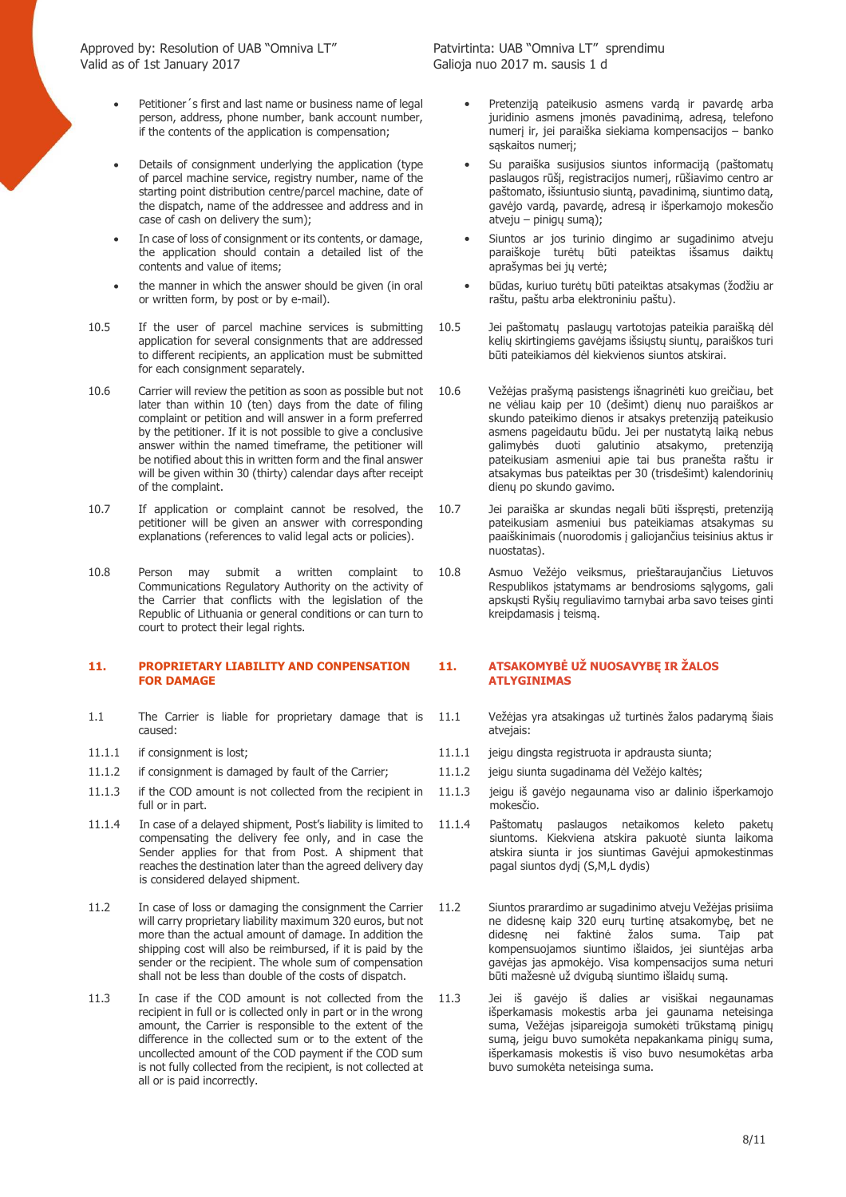- Petitioner's first and last name or business name of legal person, address, phone number, bank account number, if the contents of the application is compensation;
- Details of consignment underlying the application (type of parcel machine service, registry number, name of the starting point distribution centre/parcel machine, date of the dispatch, name of the addressee and address and in case of cash on delivery the sum);
- In case of loss of consignment or its contents, or damage, the application should contain a detailed list of the contents and value of items;
- the manner in which the answer should be given (in oral or written form, by post or by e-mail).
- 10.5 If the user of parcel machine services is submitting application for several consignments that are addressed to different recipients, an application must be submitted for each consignment separately.
- 10.6 Carrier will review the petition as soon as possible but not later than within 10 (ten) days from the date of filing complaint or petition and will answer in a form preferred by the petitioner. If it is not possible to give a conclusive answer within the named timeframe, the petitioner will be notified about this in written form and the final answer will be given within 30 (thirty) calendar days after receipt of the complaint.
- 10.7 If application or complaint cannot be resolved, the petitioner will be given an answer with corresponding explanations (references to valid legal acts or policies).
- 10.8 Person may submit a written complaint to Communications Regulatory Authority on the activity of the Carrier that conflicts with the legislation of the Republic of Lithuania or general conditions or can turn to court to protect their legal rights.

### **11. PROPRIETARY LIABILITY AND CONPENSATION FOR DAMAGE**

- 1.1 The Carrier is liable for proprietary damage that is caused:
- 
- 11.1.2 if consignment is damaged by fault of the Carrier; 11.1.2 jeigu siunta sugadinama dėl Vežėjo kaltės;
- 11.1.3 if the COD amount is not collected from the recipient in full or in part.
- 11.1.4 In case of a delayed shipment, Post's liability is limited to compensating the delivery fee only, and in case the Sender applies for that from Post. A shipment that reaches the destination later than the agreed delivery day is considered delayed shipment.
- 11.2 In case of loss or damaging the consignment the Carrier will carry proprietary liability maximum 320 euros, but not more than the actual amount of damage. In addition the shipping cost will also be reimbursed, if it is paid by the sender or the recipient. The whole sum of compensation shall not be less than double of the costs of dispatch.
- 11.3 In case if the COD amount is not collected from the recipient in full or is collected only in part or in the wrong amount, the Carrier is responsible to the extent of the difference in the collected sum or to the extent of the uncollected amount of the COD payment if the COD sum is not fully collected from the recipient, is not collected at all or is paid incorrectly.

- Pretenziją pateikusio asmens vardą ir pavardę arba juridinio asmens įmonės pavadinimą, adresą, telefono numerį ir, jei paraiška siekiama kompensacijos – banko sąskaitos numerį;
- Su paraiška susijusios siuntos informacija (paštomatu paslaugos rūšį, registracijos numerį, rūšiavimo centro ar paštomato, išsiuntusio siuntą, pavadinimą, siuntimo datą, gavėjo vardą, pavardę, adresą ir išperkamojo mokesčio atveju – pinigų sumą);
- Siuntos ar jos turinio dingimo ar sugadinimo atveju paraiškoje turėtų būti pateiktas išsamus daiktų aprašymas bei jų vertė;
- būdas, kuriuo turėtų būti pateiktas atsakymas (žodžiu ar raštu, paštu arba elektroniniu paštu).
- 10.5 Jei paštomatų paslaugų vartotojas pateikia paraišką dėl kelių skirtingiems gavėjams išsiųstų siuntų, paraiškos turi būti pateikiamos dėl kiekvienos siuntos atskirai.
- 10.6 Vežėjas prašymą pasistengs išnagrinėti kuo greičiau, bet ne vėliau kaip per 10 (dešimt) dienų nuo paraiškos ar skundo pateikimo dienos ir atsakys pretenziją pateikusio asmens pageidautu būdu. Jei per nustatytą laiką nebus galimybės duoti galutinio atsakymo, pretenziją pateikusiam asmeniui apie tai bus pranešta raštu ir atsakymas bus pateiktas per 30 (trisdešimt) kalendorinių dienų po skundo gavimo.
- 10.7 Jei paraiška ar skundas negali būti išspręsti, pretenziją pateikusiam asmeniui bus pateikiamas atsakymas su paaiškinimais (nuorodomis į galiojančius teisinius aktus ir nuostatas).
- 10.8 Asmuo Vežėjo veiksmus, prieštaraujančius Lietuvos Respublikos įstatymams ar bendrosioms sąlygoms, gali apskųsti Ryšių reguliavimo tarnybai arba savo teises ginti kreipdamasis į teismą.

### **11. ATSAKOMYBĖ UŽ NUOSAVYBĘ IR ŽALOS ATLYGINIMAS**

- 11.1 Vežėjas yra atsakingas už turtinės žalos padarymą šiais atvejais:
- 11.1.1 if consignment is lost; 11.1.1 jeigu dingsta registruota ir apdrausta siunta;
	-
	- 11.1.3 jeigu iš gavėjo negaunama viso ar dalinio išperkamojo mokesčio.
	- 11.1.4 Paštomatų paslaugos netaikomos keleto paketų siuntoms. Kiekviena atskira pakuotė siunta laikoma atskira siunta ir jos siuntimas Gavėjui apmokestinmas pagal siuntos dydį (S,M,L dydis)
	- 11.2 Siuntos prarardimo ar sugadinimo atveju Vežėjas prisiima ne didesnę kaip 320 eurų turtinę atsakomybę, bet ne didesnę nei faktinė žalos suma. Taip kompensuojamos siuntimo išlaidos, jei siuntėjas arba gavėjas jas apmokėjo. Visa kompensacijos suma neturi būti mažesnė už dvigubą siuntimo išlaidų sumą.
	- 11.3 Jei iš gavėjo iš dalies ar visiškai negaunamas išperkamasis mokestis arba jei gaunama neteisinga suma, Vežėjas įsipareigoja sumokėti trūkstama pinigų sumą, jeigu buvo sumokėta nepakankama pinigų suma, išperkamasis mokestis iš viso buvo nesumokėtas arba buvo sumokėta neteisinga suma.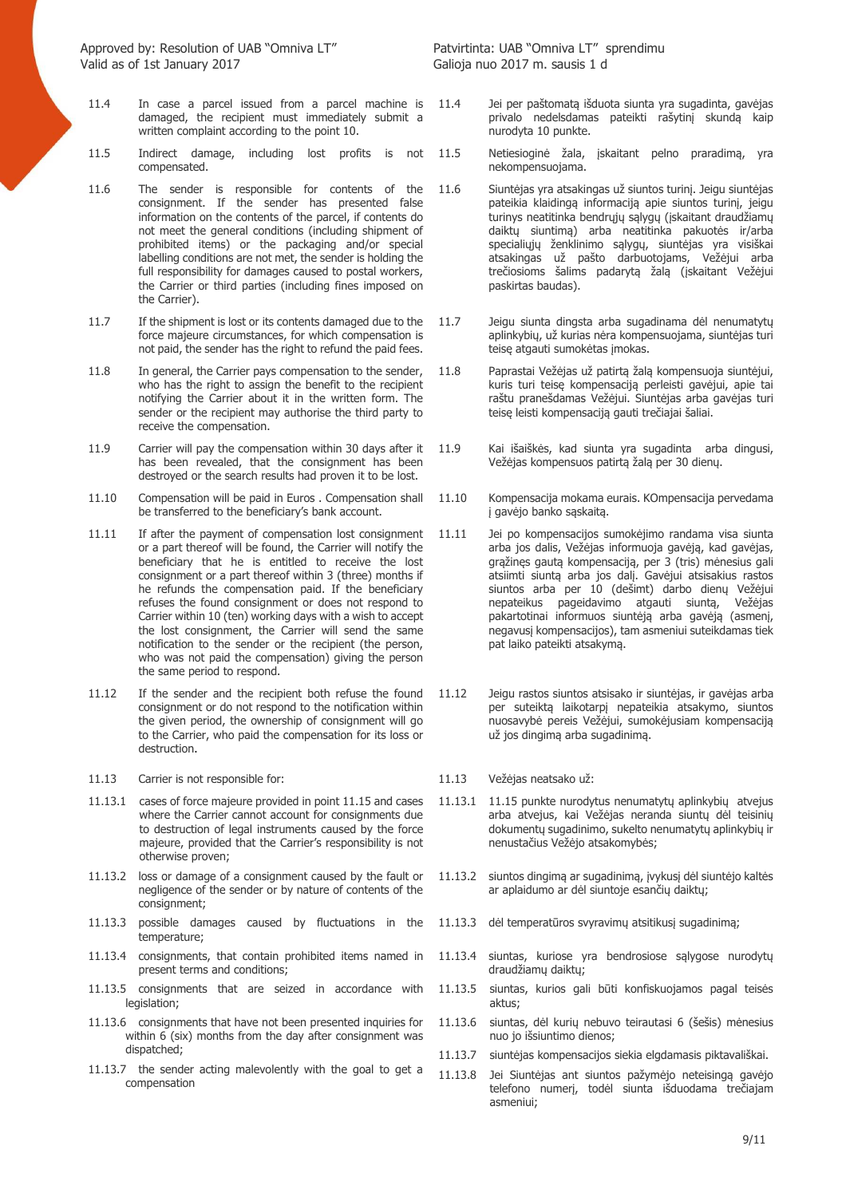- 11.4 In case a parcel issued from a parcel machine is damaged, the recipient must immediately submit a written complaint according to the point 10.
- 11.5 Indirect damage, including lost profits is not compensated.
- 11.6 The sender is responsible for contents of the consignment. If the sender has presented false information on the contents of the parcel, if contents do not meet the general conditions (including shipment of prohibited items) or the packaging and/or special labelling conditions are not met, the sender is holding the full responsibility for damages caused to postal workers, the Carrier or third parties (including fines imposed on the Carrier).
- 11.7 If the shipment is lost or its contents damaged due to the force majeure circumstances, for which compensation is not paid, the sender has the right to refund the paid fees.
- 11.8 In general, the Carrier pays compensation to the sender, who has the right to assign the benefit to the recipient notifying the Carrier about it in the written form. The sender or the recipient may authorise the third party to receive the compensation.
- 11.9 Carrier will pay the compensation within 30 days after it has been revealed, that the consignment has been destroyed or the search results had proven it to be lost.
- 11.10 Compensation will be paid in Euros . Compensation shall be transferred to the beneficiary's bank account.
- 11.11 If after the payment of compensation lost consignment or a part thereof will be found, the Carrier will notify the beneficiary that he is entitled to receive the lost consignment or a part thereof within 3 (three) months if he refunds the compensation paid. If the beneficiary refuses the found consignment or does not respond to Carrier within 10 (ten) working days with a wish to accept the lost consignment, the Carrier will send the same notification to the sender or the recipient (the person, who was not paid the compensation) giving the person the same period to respond.
- 11.12 If the sender and the recipient both refuse the found consignment or do not respond to the notification within the given period, the ownership of consignment will go to the Carrier, who paid the compensation for its loss or destruction.
- 11.13 Carrier is not responsible for: 11.13 Vežėjas neatsako už:
- 11.13.1 cases of force majeure provided in point 11.15 and cases where the Carrier cannot account for consignments due to destruction of legal instruments caused by the force majeure, provided that the Carrier's responsibility is not otherwise proven;
- 11.13.2 loss or damage of a consignment caused by the fault or negligence of the sender or by nature of contents of the consignment;
- 11.13.3 possible damages caused by fluctuations in the temperature;
- 11.13.4 consignments, that contain prohibited items named in present terms and conditions;
- 11.13.5 consignments that are seized in accordance with legislation;
- 11.13.6 consignments that have not been presented inquiries for within 6 (six) months from the day after consignment was dispatched;
- 11.13.7 the sender acting malevolently with the goal to get a compensation
- 11.4 Jei per paštomatą išduota siunta yra sugadinta, gavėjas privalo nedelsdamas pateikti rašytinį skundą kaip nurodyta 10 punkte.
- 11.5 Netiesioginė žala, įskaitant pelno praradimą, yra nekompensuojama.
- 11.6 Siuntėjas yra atsakingas už siuntos turinį. Jeigu siuntėjas pateikia klaidingą informaciją apie siuntos turinį, jeigu turinys neatitinka bendrųjų sąlygų (įskaitant draudžiamų daiktų siuntimą) arba neatitinka pakuotės ir/arba specialiųjų ženklinimo sąlygų, siuntėjas yra visiškai atsakingas už pašto darbuotojams, Vežėjui arba trečiosioms šalims padarytą žalą (įskaitant Vežėjui paskirtas baudas).
- 11.7 Jeigu siunta dingsta arba sugadinama dėl nenumatytų aplinkybių, už kurias nėra kompensuojama, siuntėjas turi teisę atgauti sumokėtas įmokas.
- 11.8 Paprastai Vežėjas už patirtą žalą kompensuoja siuntėjui, kuris turi teisę kompensaciją perleisti gavėjui, apie tai raštu pranešdamas Vežėjui. Siuntėjas arba gavėjas turi teisę leisti kompensaciją gauti trečiajai šaliai.
- 11.9 Kai išaiškės, kad siunta yra sugadinta arba dingusi, Vežėjas kompensuos patirtą žalą per 30 dienų.
- 11.10 Kompensacija mokama eurais. KOmpensacija pervedama į gavėjo banko sąskaitą.
- 11.11 Jei po kompensacijos sumokėjimo randama visa siunta arba jos dalis, Vežėjas informuoja gavėją, kad gavėjas, grąžinęs gautą kompensaciją, per 3 (tris) mėnesius gali atsiimti siuntą arba jos dalį. Gavėjui atsisakius rastos siuntos arba per 10 (dešimt) darbo dienų Vežėjui nepateikus pageidavimo atgauti siuntą, pakartotinai informuos siuntėją arba gavėją (asmenį, negavusį kompensacijos), tam asmeniui suteikdamas tiek pat laiko pateikti atsakymą.
- 11.12 Jeigu rastos siuntos atsisako ir siuntėjas, ir gavėjas arba per suteiktą laikotarpį nepateikia atsakymo, siuntos nuosavybė pereis Vežėjui, sumokėjusiam kompensaciją už jos dingimą arba sugadinimą.
- 
- 11.13.1 11.15 punkte nurodytus nenumatytų aplinkybių atvejus arba atvejus, kai Vežėjas neranda siuntų dėl teisinių dokumentų sugadinimo, sukelto nenumatytų aplinkybių ir nenustačius Vežėjo atsakomybės;
- 11.13.2 siuntos dingimą ar sugadinimą, įvykusį dėl siuntėjo kaltės ar aplaidumo ar dėl siuntoje esančių daiktų;
- 11.13.3 dėl temperatūros svyravimų atsitikusį sugadinimą;
- 11.13.4 siuntas, kuriose yra bendrosiose sąlygose nurodytų draudžiamų daiktų;
- 11.13.5 siuntas, kurios gali būti konfiskuojamos pagal teisės aktus;
- 11.13.6 siuntas, dėl kurių nebuvo teirautasi 6 (šešis) mėnesius nuo jo išsiuntimo dienos;
- 11.13.7 siuntėjas kompensacijos siekia elgdamasis piktavališkai.
- 11.13.8 Jei Siuntėjas ant siuntos pažymėjo neteisingą gavėjo telefono numerį, todėl siunta išduodama trečiajam asmeniui;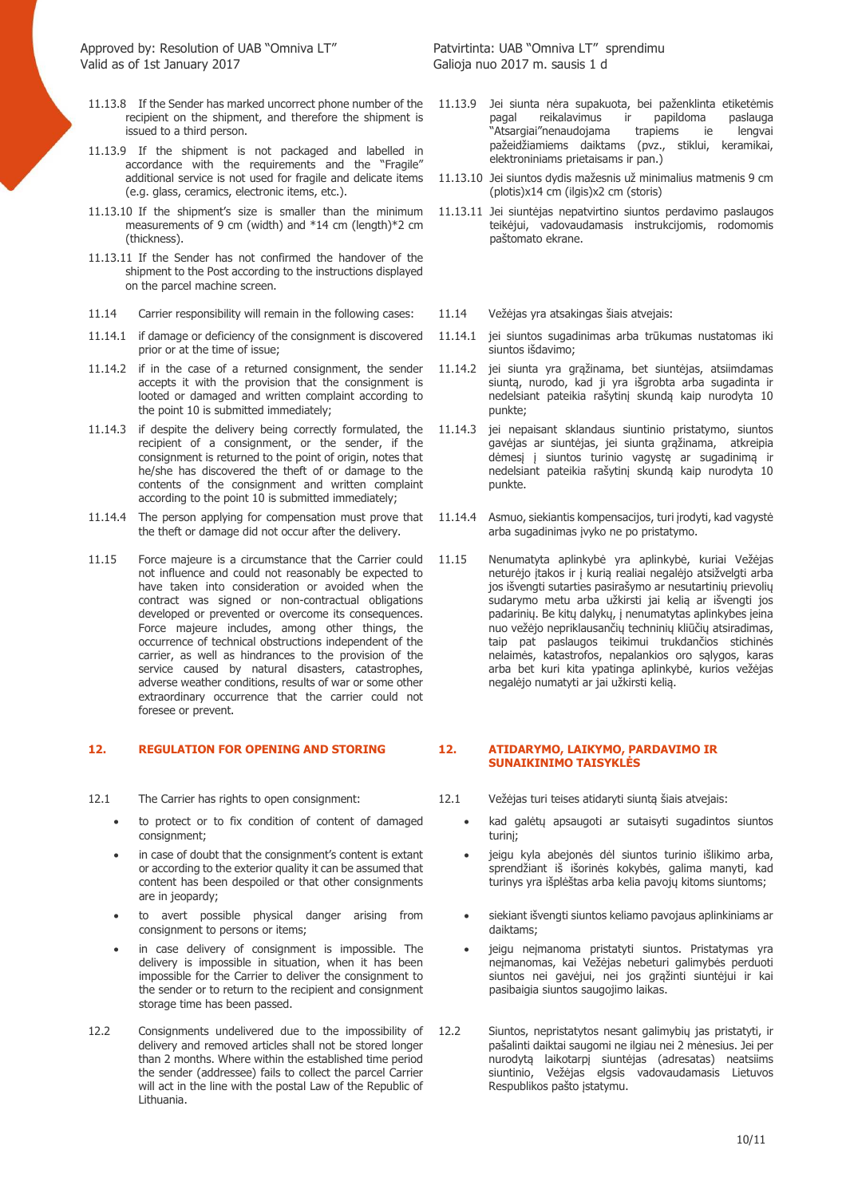- 11.13.8 If the Sender has marked uncorrect phone number of the recipient on the shipment, and therefore the shipment is issued to a third person.
- 11.13.9 If the shipment is not packaged and labelled in accordance with the requirements and the "Fragile" additional service is not used for fragile and delicate items (e.g. glass, ceramics, electronic items, etc.).
- 11.13.10 If the shipment's size is smaller than the minimum measurements of 9 cm (width) and \*14 cm (length)\*2 cm (thickness).
- 11.13.11 If the Sender has not confirmed the handover of the shipment to the Post according to the instructions displayed on the parcel machine screen.
- 11.14 Carrier responsibility will remain in the following cases: 11.14 Vežėjas yra atsakingas šiais atvejais:
- 11.14.1 if damage or deficiency of the consignment is discovered prior or at the time of issue;
- 11.14.2 if in the case of a returned consignment, the sender accepts it with the provision that the consignment is looted or damaged and written complaint according to the point 10 is submitted immediately;
- 11.14.3 if despite the delivery being correctly formulated, the recipient of a consignment, or the sender, if the consignment is returned to the point of origin, notes that he/she has discovered the theft of or damage to the contents of the consignment and written complaint according to the point 10 is submitted immediately;
- 11.14.4 The person applying for compensation must prove that the theft or damage did not occur after the delivery.
- 11.15 Force majeure is a circumstance that the Carrier could not influence and could not reasonably be expected to have taken into consideration or avoided when the contract was signed or non-contractual obligations developed or prevented or overcome its consequences. Force majeure includes, among other things, the occurrence of technical obstructions independent of the carrier, as well as hindrances to the provision of the service caused by natural disasters, catastrophes, adverse weather conditions, results of war or some other extraordinary occurrence that the carrier could not foresee or prevent.

### **12. REGULATION FOR OPENING AND STORING 12. ATIDARYMO, LAIKYMO, PARDAVIMO IR**

- - to protect or to fix condition of content of damaged consignment:
	- in case of doubt that the consignment's content is extant or according to the exterior quality it can be assumed that content has been despoiled or that other consignments are in jeopardy;
	- to avert possible physical danger arising from consignment to persons or items;
	- in case delivery of consignment is impossible. The delivery is impossible in situation, when it has been impossible for the Carrier to deliver the consignment to the sender or to return to the recipient and consignment storage time has been passed.
- 12.2 Consignments undelivered due to the impossibility of delivery and removed articles shall not be stored longer than 2 months. Where within the established time period the sender (addressee) fails to collect the parcel Carrier will act in the line with the postal Law of the Republic of Lithuania.

- 11.13.9 Jei siunta nėra supakuota, bei paženklinta etiketėmis pagal reikalavimus ir papildoma paslauga<br>"Atsargiai"nenaudojama trapiems ie lengvai "Atsargiai"nenaudojama trapiems ie lengvai pažeidžiamiems daiktams (pvz., stiklui, keramikai, elektroniniams prietaisams ir pan.)
- 11.13.10 Jei siuntos dydis mažesnis už minimalius matmenis 9 cm (plotis)x14 cm (ilgis)x2 cm (storis)
- 11.13.11 Jei siuntėjas nepatvirtino siuntos perdavimo paslaugos teikėjui, vadovaudamasis instrukcijomis, rodomomis paštomato ekrane.
- 
- 11.14.1 jei siuntos sugadinimas arba trūkumas nustatomas iki siuntos išdavimo;
- 11.14.2 jei siunta yra grąžinama, bet siuntėjas, atsiimdamas siuntą, nurodo, kad ji yra išgrobta arba sugadinta ir nedelsiant pateikia rašytinį skundą kaip nurodyta 10 punkte;
- 11.14.3 jei nepaisant sklandaus siuntinio pristatymo, siuntos gavėjas ar siuntėjas, jei siunta grąžinama, atkreipia dėmesį į siuntos turinio vagystę ar sugadinimą ir nedelsiant pateikia rašytinį skundą kaip nurodyta 10 punkte.
- 11.14.4 Asmuo, siekiantis kompensacijos, turi įrodyti, kad vagystė arba sugadinimas įvyko ne po pristatymo.
- 11.15 Nenumatyta aplinkybė yra aplinkybė, kuriai Vežėjas neturėjo įtakos ir į kurią realiai negalėjo atsižvelgti arba jos išvengti sutarties pasirašymo ar nesutartinių prievolių sudarymo metu arba užkirsti jai kelią ar išvengti jos padarinių. Be kitų dalykų, į nenumatytas aplinkybes įeina nuo vežėjo nepriklausančių techninių kliūčių atsiradimas, taip pat paslaugos teikimui trukdančios stichinės nelaimės, katastrofos, nepalankios oro sąlygos, karas arba bet kuri kita ypatinga aplinkybė, kurios vežėjas negalėjo numatyti ar jai užkirsti kelią.

# **SUNAIKINIMO TAISYKLĖS**

- 12.1 The Carrier has rights to open consignment: 12.1 Vežėjas turi teises atidaryti siuntą šiais atvejais:
	- kad galėtų apsaugoti ar sutaisyti sugadintos siuntos turinį;
	- jeigu kyla abejonės dėl siuntos turinio išlikimo arba, sprendžiant iš išorinės kokybės, galima manyti, kad turinys yra išplėštas arba kelia pavojų kitoms siuntoms;
	- siekiant išvengti siuntos keliamo pavojaus aplinkiniams ar daiktams;
	- jeigu neįmanoma pristatyti siuntos. Pristatymas yra neįmanomas, kai Vežėjas nebeturi galimybės perduoti siuntos nei gavėjui, nei jos grąžinti siuntėjui ir kai pasibaigia siuntos saugojimo laikas.
	- 12.2 Siuntos, nepristatytos nesant galimybių jas pristatyti, ir pašalinti daiktai saugomi ne ilgiau nei 2 mėnesius. Jei per nurodytą laikotarpį siuntėjas (adresatas) neatsiims siuntinio, Vežėjas elgsis vadovaudamasis Lietuvos Respublikos pašto įstatymu.